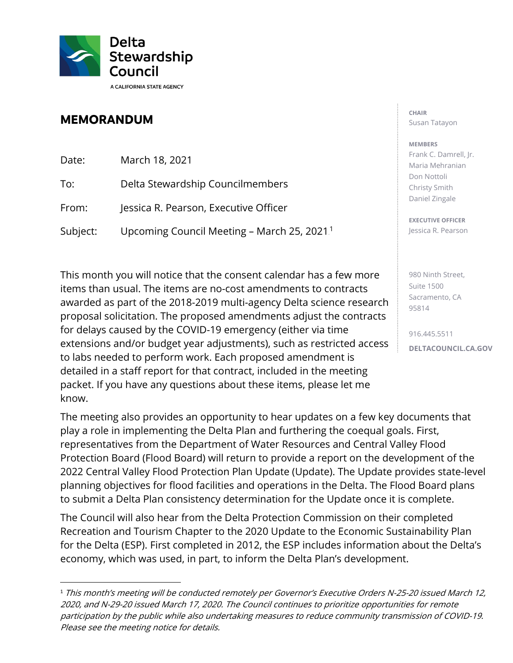

## **MEMORANDUM**

| Date:    | March 18, 2021                                          |
|----------|---------------------------------------------------------|
| To:      | Delta Stewardship Councilmembers                        |
| From:    | Jessica R. Pearson, Executive Officer                   |
| Subject: | Upcoming Council Meeting - March 25, 2021. <sup>1</sup> |

 for delays caused by the COVID-19 emergency (either via time detailed in a staff report for that contract, included in the meeting This month you will notice that the consent calendar has a few more items than usual. The items are no-cost amendments to contracts awarded as part of the 2018-2019 multi-agency Delta science research proposal solicitation. The proposed amendments adjust the contracts extensions and/or budget year adjustments), such as restricted access to labs needed to perform work. Each proposed amendment is packet. If you have any questions about these items, please let me know.

 The meeting also provides an opportunity to hear updates on a few key documents that Protection Board (Flood Board) will return to provide a report on the development of the play a role in implementing the Delta Plan and furthering the coequal goals. First, representatives from the Department of Water Resources and Central Valley Flood 2022 Central Valley Flood Protection Plan Update (Update). The Update provides state-level planning objectives for flood facilities and operations in the Delta. The Flood Board plans to submit a Delta Plan consistency determination for the Update once it is complete.

 The Council will also hear from the Delta Protection Commission on their completed Recreation and Tourism Chapter to the 2020 Update to the Economic Sustainability Plan for the Delta (ESP). First completed in 2012, the ESP includes information about the Delta's economy, which was used, in part, to inform the Delta Plan's development.

**CHAIR**  Susan Tatayon

## **MEMBERS**

 Frank C. Damrell, Jr. Maria Mehranian Don Nottoli Christy Smith Daniel Zingale

**EXECUTIVE OFFICER**  Jessica R. Pearson

980 Ninth Street, Suite 1500 Sacramento, CA 95814

916.445.5511 **[DELTACOUNCIL.CA.GOV](https://DELTACOUNCIL.CA.GOV)** 

<sup>&</sup>lt;sup>1</sup> This month's meeting will be conducted remotely per Governor's Executive Orders N-25-20 issued March 12, 2020, and N-29-20 issued March 17, 2020. The Council continues to prioritize opportunities for remote participation by the public while also undertaking measures to reduce community transmission of COVID-19. Please see the meeting notice for details.